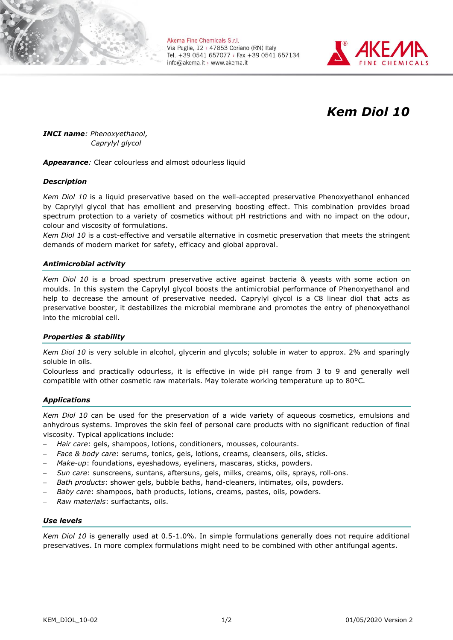

Akema Fine Chemicals S.r.l. Via Puglie, 12 > 47853 Coriano (RN) Italy Tel. +39 0541 657077 > Fax +39 0541 657134 info@akema.it > www.akema.it



# *Kem Diol 10*

*INCI name: Phenoxyethanol, Caprylyl glycol*

*Appearance:* Clear colourless and almost odourless liquid

## *Description*

*Kem Diol 10* is a liquid preservative based on the well-accepted preservative Phenoxyethanol enhanced by Caprylyl glycol that has emollient and preserving boosting effect. This combination provides broad spectrum protection to a variety of cosmetics without pH restrictions and with no impact on the odour, colour and viscosity of formulations.

*Kem Diol 10* is a cost-effective and versatile alternative in cosmetic preservation that meets the stringent demands of modern market for safety, efficacy and global approval.

## *Antimicrobial activity*

*Kem Diol 10* is a broad spectrum preservative active against bacteria & yeasts with some action on moulds. In this system the Caprylyl glycol boosts the antimicrobial performance of Phenoxyethanol and help to decrease the amount of preservative needed. Caprylyl glycol is a C8 linear diol that acts as preservative booster, it destabilizes the microbial membrane and promotes the entry of phenoxyethanol into the microbial cell.

## *Properties & stability*

*Kem Diol 10* is very soluble in alcohol, glycerin and glycols; soluble in water to approx. 2% and sparingly soluble in oils.

Colourless and practically odourless, it is effective in wide pH range from 3 to 9 and generally well compatible with other cosmetic raw materials. May tolerate working temperature up to 80°C.

## *Applications*

*Kem Diol 10* can be used for the preservation of a wide variety of aqueous cosmetics, emulsions and anhydrous systems. Improves the skin feel of personal care products with no significant reduction of final viscosity. Typical applications include:

- *Hair care*: gels, shampoos, lotions, conditioners, mousses, colourants.
- *Face & body care*: serums, tonics, gels, lotions, creams, cleansers, oils, sticks.
- *Make-up*: foundations, eyeshadows, eyeliners, mascaras, sticks, powders.
- *Sun care*: sunscreens, suntans, aftersuns, gels, milks, creams, oils, sprays, roll-ons.
- *Bath products*: shower gels, bubble baths, hand-cleaners, intimates, oils, powders.
- *Baby care*: shampoos, bath products, lotions, creams, pastes, oils, powders.
- *Raw materials*: surfactants, oils.

#### *Use levels*

*Kem Diol 10* is generally used at 0.5-1.0%. In simple formulations generally does not require additional preservatives. In more complex formulations might need to be combined with other antifungal agents.